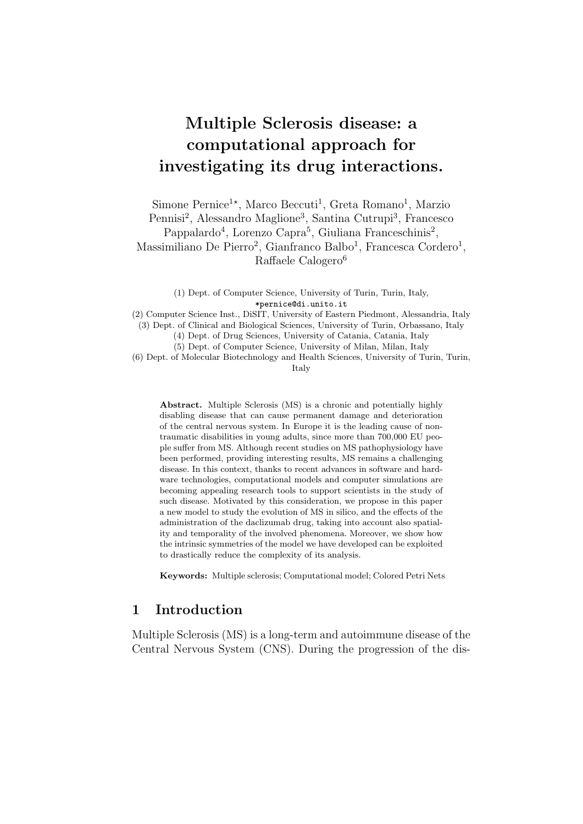## Multiple Sclerosis disease: a computational approach for investigating its drug interactions.

Simone Pernice<sup>1\*</sup>, Marco Beccuti<sup>1</sup>, Greta Romano<sup>1</sup>, Marzio Pennisi<sup>2</sup>, Alessandro Maglione<sup>3</sup>, Santina Cutrupi<sup>3</sup>, Francesco Pappalardo<sup>4</sup>, Lorenzo Capra<sup>5</sup>, Giuliana Franceschinis<sup>2</sup>, Massimiliano De Pierro<sup>2</sup>, Gianfranco Balbo<sup>1</sup>, Francesca Cordero<sup>1</sup>, Raffaele Calogero<sup>6</sup>

> (1) Dept. of Computer Science, University of Turin, Turin, Italy, \*pernice@di.unito.it

(2) Computer Science Inst., DiSIT, University of Eastern Piedmont, Alessandria, Italy (3) Dept. of Clinical and Biological Sciences, University of Turin, Orbassano, Italy (4) Dept. of Drug Sciences, University of Catania, Catania, Italy

(5) Dept. of Computer Science, University of Milan, Milan, Italy

(6) Dept. of Molecular Biotechnology and Health Sciences, University of Turin, Turin,

#### Italy

Abstract. Multiple Sclerosis (MS) is a chronic and potentially highly disabling disease that can cause permanent damage and deterioration of the central nervous system. In Europe it is the leading cause of nontraumatic disabilities in young adults, since more than 700,000 EU people suffer from MS. Although recent studies on MS pathophysiology have been performed, providing interesting results, MS remains a challenging disease. In this context, thanks to recent advances in software and hardware technologies, computational models and computer simulations are becoming appealing research tools to support scientists in the study of such disease. Motivated by this consideration, we propose in this paper a new model to study the evolution of MS in silico, and the effects of the administration of the daclizumab drug, taking into account also spatiality and temporality of the involved phenomena. Moreover, we show how the intrinsic symmetries of the model we have developed can be exploited to drastically reduce the complexity of its analysis.

Keywords: Multiple sclerosis; Computational model; Colored Petri Nets

#### 1 Introduction

Multiple Sclerosis (MS) is a long-term and autoimmune disease of the Central Nervous System (CNS). During the progression of the dis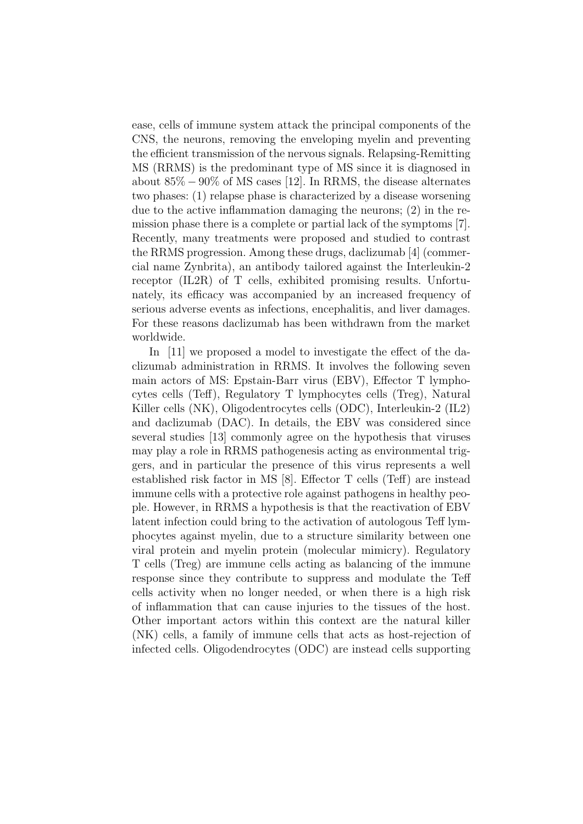ease, cells of immune system attack the principal components of the CNS, the neurons, removing the enveloping myelin and preventing the efficient transmission of the nervous signals. Relapsing-Remitting MS (RRMS) is the predominant type of MS since it is diagnosed in about 85% − 90% of MS cases [12]. In RRMS, the disease alternates two phases: (1) relapse phase is characterized by a disease worsening due to the active inflammation damaging the neurons; (2) in the remission phase there is a complete or partial lack of the symptoms [7]. Recently, many treatments were proposed and studied to contrast the RRMS progression. Among these drugs, daclizumab [4] (commercial name Zynbrita), an antibody tailored against the Interleukin-2 receptor (IL2R) of T cells, exhibited promising results. Unfortunately, its efficacy was accompanied by an increased frequency of serious adverse events as infections, encephalitis, and liver damages. For these reasons daclizumab has been withdrawn from the market worldwide.

In [11] we proposed a model to investigate the effect of the daclizumab administration in RRMS. It involves the following seven main actors of MS: Epstain-Barr virus (EBV), Effector T lymphocytes cells (Teff), Regulatory T lymphocytes cells (Treg), Natural Killer cells (NK), Oligodentrocytes cells (ODC), Interleukin-2 (IL2) and daclizumab (DAC). In details, the EBV was considered since several studies [13] commonly agree on the hypothesis that viruses may play a role in RRMS pathogenesis acting as environmental triggers, and in particular the presence of this virus represents a well established risk factor in MS [8]. Effector T cells (Teff) are instead immune cells with a protective role against pathogens in healthy people. However, in RRMS a hypothesis is that the reactivation of EBV latent infection could bring to the activation of autologous Teff lymphocytes against myelin, due to a structure similarity between one viral protein and myelin protein (molecular mimicry). Regulatory T cells (Treg) are immune cells acting as balancing of the immune response since they contribute to suppress and modulate the Teff cells activity when no longer needed, or when there is a high risk of inflammation that can cause injuries to the tissues of the host. Other important actors within this context are the natural killer (NK) cells, a family of immune cells that acts as host-rejection of infected cells. Oligodendrocytes (ODC) are instead cells supporting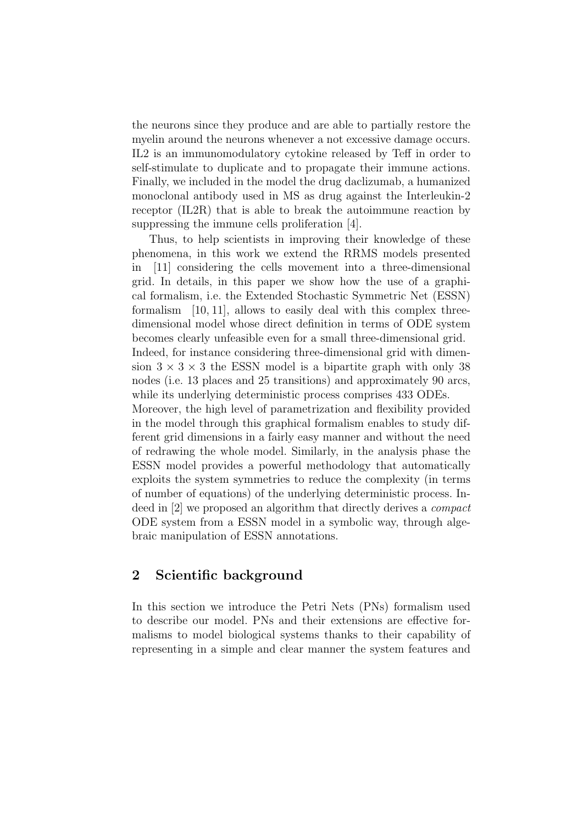the neurons since they produce and are able to partially restore the myelin around the neurons whenever a not excessive damage occurs. IL2 is an immunomodulatory cytokine released by Teff in order to self-stimulate to duplicate and to propagate their immune actions. Finally, we included in the model the drug daclizumab, a humanized monoclonal antibody used in MS as drug against the Interleukin-2 receptor (IL2R) that is able to break the autoimmune reaction by suppressing the immune cells proliferation [4].

Thus, to help scientists in improving their knowledge of these phenomena, in this work we extend the RRMS models presented in [11] considering the cells movement into a three-dimensional grid. In details, in this paper we show how the use of a graphical formalism, i.e. the Extended Stochastic Symmetric Net (ESSN) formalism [10, 11], allows to easily deal with this complex threedimensional model whose direct definition in terms of ODE system becomes clearly unfeasible even for a small three-dimensional grid. Indeed, for instance considering three-dimensional grid with dimension  $3 \times 3 \times 3$  the ESSN model is a bipartite graph with only 38 nodes (i.e. 13 places and 25 transitions) and approximately 90 arcs, while its underlying deterministic process comprises 433 ODEs. Moreover, the high level of parametrization and flexibility provided in the model through this graphical formalism enables to study different grid dimensions in a fairly easy manner and without the need of redrawing the whole model. Similarly, in the analysis phase the ESSN model provides a powerful methodology that automatically exploits the system symmetries to reduce the complexity (in terms of number of equations) of the underlying deterministic process. Indeed in [2] we proposed an algorithm that directly derives a compact

# 2 Scientific background

braic manipulation of ESSN annotations.

In this section we introduce the Petri Nets (PNs) formalism used to describe our model. PNs and their extensions are effective formalisms to model biological systems thanks to their capability of representing in a simple and clear manner the system features and

ODE system from a ESSN model in a symbolic way, through alge-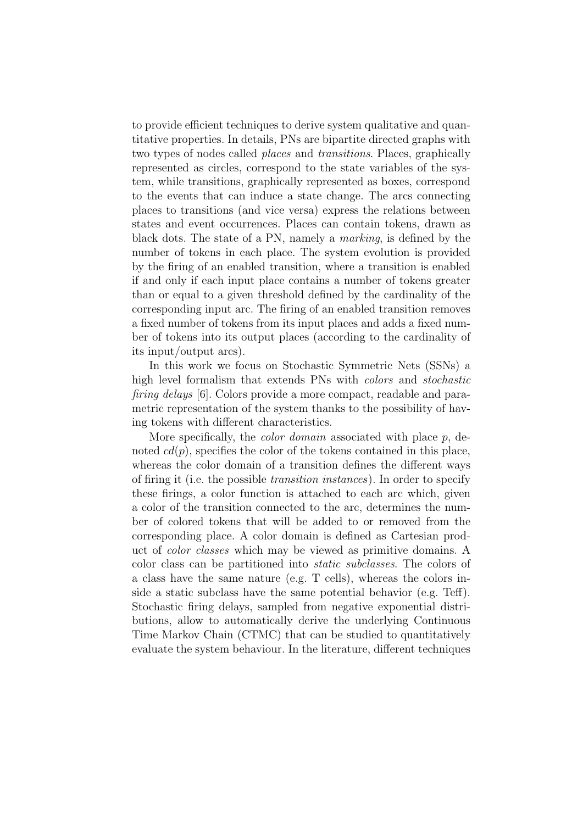to provide efficient techniques to derive system qualitative and quantitative properties. In details, PNs are bipartite directed graphs with two types of nodes called places and transitions. Places, graphically represented as circles, correspond to the state variables of the system, while transitions, graphically represented as boxes, correspond to the events that can induce a state change. The arcs connecting places to transitions (and vice versa) express the relations between states and event occurrences. Places can contain tokens, drawn as black dots. The state of a PN, namely a marking, is defined by the number of tokens in each place. The system evolution is provided by the firing of an enabled transition, where a transition is enabled if and only if each input place contains a number of tokens greater than or equal to a given threshold defined by the cardinality of the corresponding input arc. The firing of an enabled transition removes a fixed number of tokens from its input places and adds a fixed number of tokens into its output places (according to the cardinality of its input/output arcs).

In this work we focus on Stochastic Symmetric Nets (SSNs) a high level formalism that extends PNs with colors and stochastic firing delays [6]. Colors provide a more compact, readable and parametric representation of the system thanks to the possibility of having tokens with different characteristics.

More specifically, the *color domain* associated with place  $p$ , denoted  $cd(p)$ , specifies the color of the tokens contained in this place, whereas the color domain of a transition defines the different ways of firing it (i.e. the possible transition instances). In order to specify these firings, a color function is attached to each arc which, given a color of the transition connected to the arc, determines the number of colored tokens that will be added to or removed from the corresponding place. A color domain is defined as Cartesian product of color classes which may be viewed as primitive domains. A color class can be partitioned into static subclasses. The colors of a class have the same nature (e.g. T cells), whereas the colors inside a static subclass have the same potential behavior (e.g. Teff). Stochastic firing delays, sampled from negative exponential distributions, allow to automatically derive the underlying Continuous Time Markov Chain (CTMC) that can be studied to quantitatively evaluate the system behaviour. In the literature, different techniques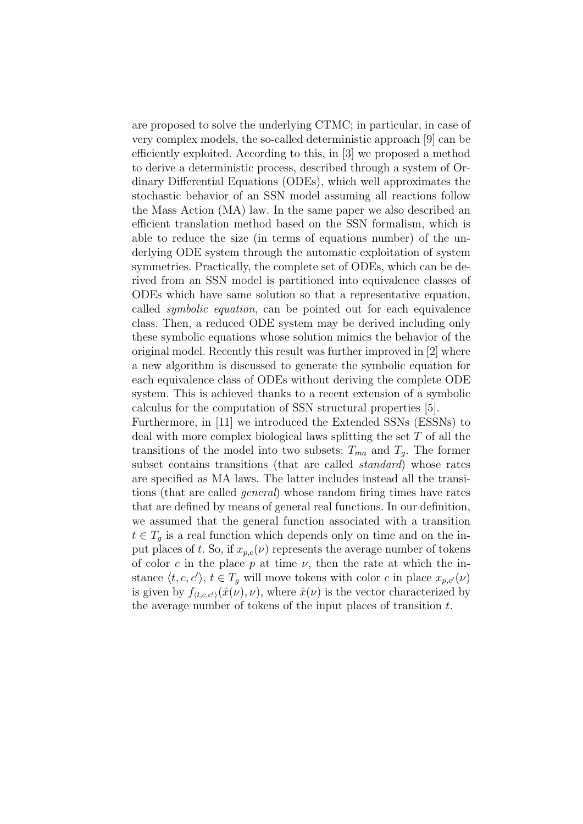are proposed to solve the underlying CTMC; in particular, in case of very complex models, the so-called deterministic approach [9] can be efficiently exploited. According to this, in [3] we proposed a method to derive a deterministic process, described through a system of Ordinary Differential Equations (ODEs), which well approximates the stochastic behavior of an SSN model assuming all reactions follow the Mass Action (MA) law. In the same paper we also described an efficient translation method based on the SSN formalism, which is able to reduce the size (in terms of equations number) of the underlying ODE system through the automatic exploitation of system symmetries. Practically, the complete set of ODEs, which can be derived from an SSN model is partitioned into equivalence classes of ODEs which have same solution so that a representative equation, called symbolic equation, can be pointed out for each equivalence class. Then, a reduced ODE system may be derived including only these symbolic equations whose solution mimics the behavior of the original model. Recently this result was further improved in [2] where a new algorithm is discussed to generate the symbolic equation for each equivalence class of ODEs without deriving the complete ODE system. This is achieved thanks to a recent extension of a symbolic calculus for the computation of SSN structural properties [5].

Furthermore, in [11] we introduced the Extended SSNs (ESSNs) to deal with more complex biological laws splitting the set  $T$  of all the transitions of the model into two subsets:  $T_{ma}$  and  $T_g$ . The former subset contains transitions (that are called *standard*) whose rates are specified as MA laws. The latter includes instead all the transitions (that are called general) whose random firing times have rates that are defined by means of general real functions. In our definition, we assumed that the general function associated with a transition  $t \in T_q$  is a real function which depends only on time and on the input places of t. So, if  $x_{p,c}(\nu)$  represents the average number of tokens of color c in the place p at time  $\nu$ , then the rate at which the instance  $\langle t, c, c' \rangle$ ,  $t \in T_g$  will move tokens with color c in place  $x_{p,c'}(\nu)$ is given by  $f_{\langle t,c,c'\rangle}(\hat{x}(\nu), \nu)$ , where  $\hat{x}(\nu)$  is the vector characterized by the average number of tokens of the input places of transition t.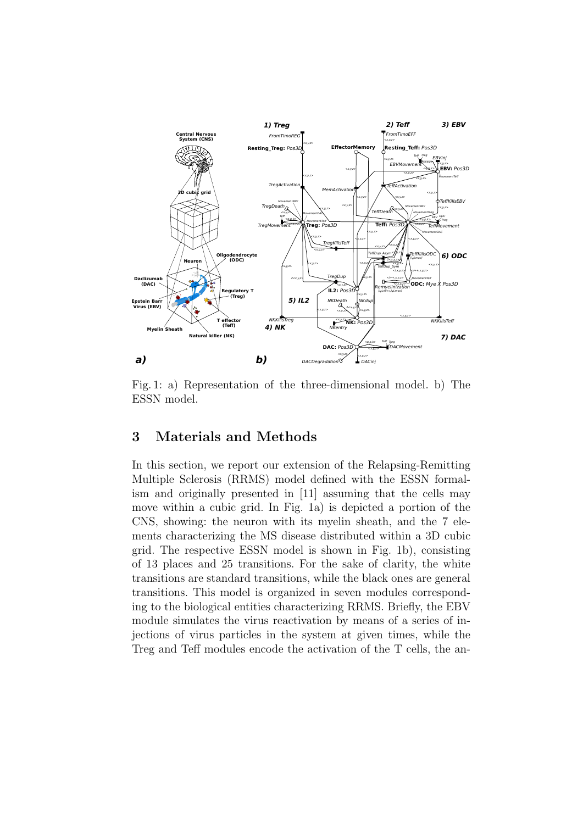

Fig. 1: a) Representation of the three-dimensional model. b) The ESSN model.

### 3 Materials and Methods

In this section, we report our extension of the Relapsing-Remitting Multiple Sclerosis (RRMS) model defined with the ESSN formalism and originally presented in [11] assuming that the cells may move within a cubic grid. In Fig. 1a) is depicted a portion of the CNS, showing: the neuron with its myelin sheath, and the 7 elements characterizing the MS disease distributed within a 3D cubic grid. The respective ESSN model is shown in Fig. 1b), consisting of 13 places and 25 transitions. For the sake of clarity, the white transitions are standard transitions, while the black ones are general transitions. This model is organized in seven modules corresponding to the biological entities characterizing RRMS. Briefly, the EBV module simulates the virus reactivation by means of a series of injections of virus particles in the system at given times, while the Treg and Teff modules encode the activation of the T cells, the an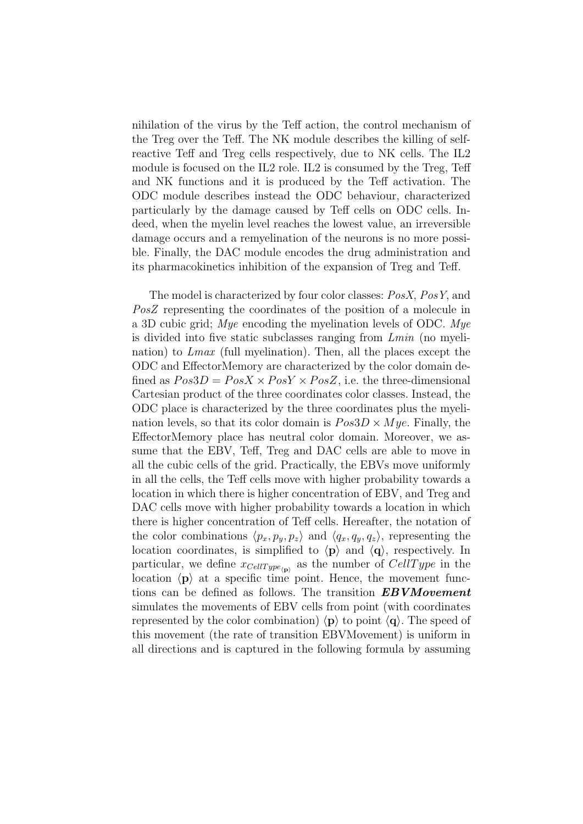nihilation of the virus by the Teff action, the control mechanism of the Treg over the Teff. The NK module describes the killing of selfreactive Teff and Treg cells respectively, due to NK cells. The IL2 module is focused on the IL2 role. IL2 is consumed by the Treg, Teff and NK functions and it is produced by the Teff activation. The ODC module describes instead the ODC behaviour, characterized particularly by the damage caused by Teff cells on ODC cells. Indeed, when the myelin level reaches the lowest value, an irreversible damage occurs and a remyelination of the neurons is no more possible. Finally, the DAC module encodes the drug administration and its pharmacokinetics inhibition of the expansion of Treg and Teff.

The model is characterized by four color classes: PosX, PosY, and PosZ representing the coordinates of the position of a molecule in a 3D cubic grid; Mye encoding the myelination levels of ODC. Mye is divided into five static subclasses ranging from Lmin (no myelination) to Lmax (full myelination). Then, all the places except the ODC and EffectorMemory are characterized by the color domain defined as  $Pos3D = PosX \times PosY \times PosZ$ , i.e. the three-dimensional Cartesian product of the three coordinates color classes. Instead, the ODC place is characterized by the three coordinates plus the myelination levels, so that its color domain is  $Pos3D \times Mye$ . Finally, the EffectorMemory place has neutral color domain. Moreover, we assume that the EBV, Teff, Treg and DAC cells are able to move in all the cubic cells of the grid. Practically, the EBVs move uniformly in all the cells, the Teff cells move with higher probability towards a location in which there is higher concentration of EBV, and Treg and DAC cells move with higher probability towards a location in which there is higher concentration of Teff cells. Hereafter, the notation of the color combinations  $\langle p_x, p_y, p_z \rangle$  and  $\langle q_x, q_y, q_z \rangle$ , representing the location coordinates, is simplified to  $\langle \mathbf{p} \rangle$  and  $\langle \mathbf{q} \rangle$ , respectively. In particular, we define  $x_{CellType(p)}$  as the number of  $CellType$  in the location  $\langle \mathbf{p} \rangle$  at a specific time point. Hence, the movement functions can be defined as follows. The transition **EBVMovement** simulates the movements of EBV cells from point (with coordinates represented by the color combination)  $\langle \mathbf{p} \rangle$  to point  $\langle \mathbf{q} \rangle$ . The speed of this movement (the rate of transition EBVMovement) is uniform in all directions and is captured in the following formula by assuming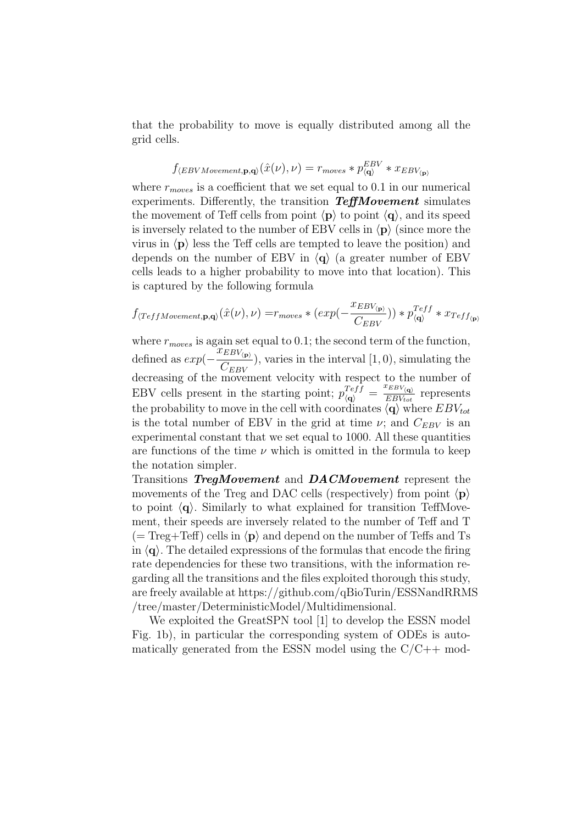that the probability to move is equally distributed among all the grid cells.

$$
f_{\langle EBVMovement, \mathbf{p}, \mathbf{q} \rangle}(\hat{x}(\nu), \nu) = r_{moves} * p_{\langle \mathbf{q} \rangle}^{EBV} * x_{EBV_{\langle \mathbf{p} \rangle}}
$$

where  $r_{moves}$  is a coefficient that we set equal to 0.1 in our numerical experiments. Differently, the transition  $\mathbf{LeftM} over \mathbf{end}$  simulates the movement of Teff cells from point  $\langle p \rangle$  to point  $\langle q \rangle$ , and its speed is inversely related to the number of EBV cells in  $\langle \mathbf{p} \rangle$  (since more the virus in  $\langle \mathbf{p} \rangle$  less the Teff cells are tempted to leave the position) and depends on the number of EBV in  $\langle q \rangle$  (a greater number of EBV cells leads to a higher probability to move into that location). This is captured by the following formula

$$
f_{\langle TeffMovement, \mathbf{p}, \mathbf{q} \rangle}(\hat{x}(\nu), \nu) = r_{moves} * (exp(-\frac{x_{EBV_{\langle \mathbf{p} \rangle}}{C_{EBV}})) * p_{\langle \mathbf{q} \rangle}^{Teff} * x_{Teff_{\langle \mathbf{p} \rangle}}
$$

where  $r_{moves}$  is again set equal to 0.1; the second term of the function, defined as  $exp(-\frac{x_{EBV(p)}}{Q})$  $C_{EBV}$ ), varies in the interval  $(1, 0)$ , simulating the decreasing of the movement velocity with respect to the number of EBV cells present in the starting point;  $p_{\langle q \rangle}^{Teff} = \frac{x_{EBV_{\langle q \rangle}}}{EBV_{tot}}$  $\frac{EBV_{\langle \mathbf{q} \rangle}}{EBV_{tot}}$  represents the probability to move in the cell with coordinates  $\overrightarrow{(\mathbf{q})}$  where  $EBV_{tot}$ is the total number of EBV in the grid at time  $\nu$ ; and  $C_{EBV}$  is an experimental constant that we set equal to 1000. All these quantities are functions of the time  $\nu$  which is omitted in the formula to keep the notation simpler.

Transitions **TregMovement** and **DACMovement** represent the movements of the Treg and DAC cells (respectively) from point  $\langle \mathbf{p} \rangle$ to point  $\langle q \rangle$ . Similarly to what explained for transition TeffMovement, their speeds are inversely related to the number of Teff and T  $(= Treg+Teff)$  cells in  $\langle p \rangle$  and depend on the number of Teffs and Ts in  $\langle \mathbf{q} \rangle$ . The detailed expressions of the formulas that encode the firing rate dependencies for these two transitions, with the information regarding all the transitions and the files exploited thorough this study, are freely available at https://github.com/qBioTurin/ESSNandRRMS /tree/master/DeterministicModel/Multidimensional.

We exploited the GreatSPN tool [1] to develop the ESSN model Fig. 1b), in particular the corresponding system of ODEs is automatically generated from the ESSN model using the  $C/C++$  mod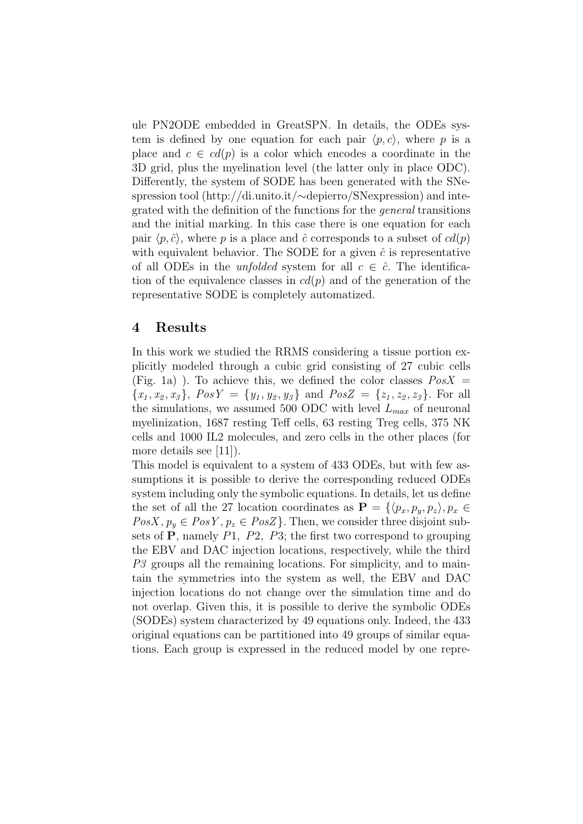ule PN2ODE embedded in GreatSPN. In details, the ODEs system is defined by one equation for each pair  $\langle p, c \rangle$ , where p is a place and  $c \in cd(p)$  is a color which encodes a coordinate in the 3D grid, plus the myelination level (the latter only in place ODC). Differently, the system of SODE has been generated with the SNespression tool (http://di.unito.it/∼depierro/SNexpression) and integrated with the definition of the functions for the general transitions and the initial marking. In this case there is one equation for each pair  $\langle p, \hat{c} \rangle$ , where p is a place and  $\hat{c}$  corresponds to a subset of  $cd(p)$ with equivalent behavior. The SODE for a given  $\hat{c}$  is representative of all ODEs in the *unfolded* system for all  $c \in \hat{c}$ . The identification of the equivalence classes in  $cd(p)$  and of the generation of the representative SODE is completely automatized.

#### 4 Results

In this work we studied the RRMS considering a tissue portion explicitly modeled through a cubic grid consisting of 27 cubic cells (Fig. 1a)). To achieve this, we defined the color classes  $PosX =$  ${x_1, x_2, x_3}, PosY = {y_1, y_2, y_3}$  and  $PosZ = {z_1, z_2, z_3}.$  For all the simulations, we assumed 500 ODC with level  $L_{max}$  of neuronal myelinization, 1687 resting Teff cells, 63 resting Treg cells, 375 NK cells and 1000 IL2 molecules, and zero cells in the other places (for more details see [11]).

This model is equivalent to a system of 433 ODEs, but with few assumptions it is possible to derive the corresponding reduced ODEs system including only the symbolic equations. In details, let us define the set of all the 27 location coordinates as  $\mathbf{P} = \{ \langle p_x, p_y, p_z \rangle, p_x \in$  $PosX, p_y \in PosY, p_z \in PosZ$ . Then, we consider three disjoint subsets of P, namely P1, P2, P3; the first two correspond to grouping the EBV and DAC injection locations, respectively, while the third P3 groups all the remaining locations. For simplicity, and to maintain the symmetries into the system as well, the EBV and DAC injection locations do not change over the simulation time and do not overlap. Given this, it is possible to derive the symbolic ODEs (SODEs) system characterized by 49 equations only. Indeed, the 433 original equations can be partitioned into 49 groups of similar equations. Each group is expressed in the reduced model by one repre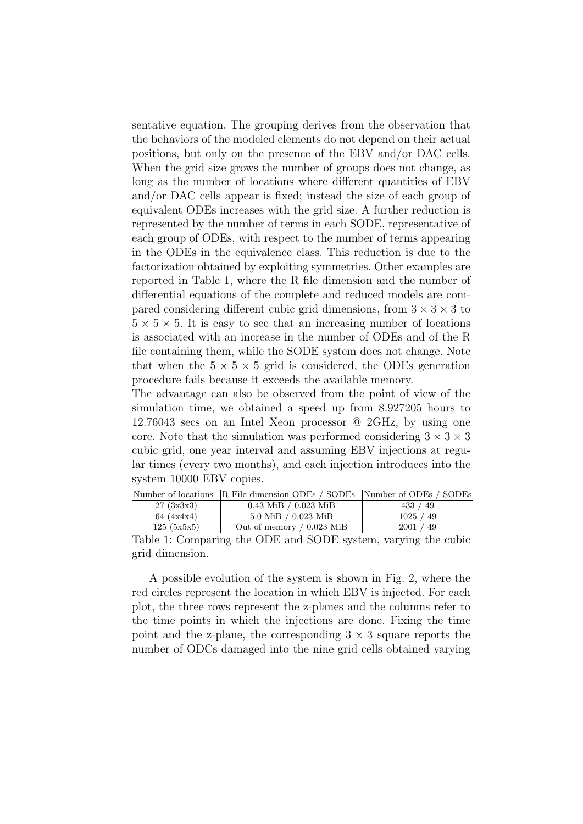sentative equation. The grouping derives from the observation that the behaviors of the modeled elements do not depend on their actual positions, but only on the presence of the EBV and/or DAC cells. When the grid size grows the number of groups does not change, as long as the number of locations where different quantities of EBV and/or DAC cells appear is fixed; instead the size of each group of equivalent ODEs increases with the grid size. A further reduction is represented by the number of terms in each SODE, representative of each group of ODEs, with respect to the number of terms appearing in the ODEs in the equivalence class. This reduction is due to the factorization obtained by exploiting symmetries. Other examples are reported in Table 1, where the R file dimension and the number of differential equations of the complete and reduced models are compared considering different cubic grid dimensions, from  $3 \times 3 \times 3$  to  $5 \times 5 \times 5$ . It is easy to see that an increasing number of locations is associated with an increase in the number of ODEs and of the R file containing them, while the SODE system does not change. Note that when the  $5 \times 5 \times 5$  grid is considered, the ODEs generation procedure fails because it exceeds the available memory.

The advantage can also be observed from the point of view of the simulation time, we obtained a speed up from 8.927205 hours to 12.76043 secs on an Intel Xeon processor @ 2GHz, by using one core. Note that the simulation was performed considering  $3 \times 3 \times 3$ cubic grid, one year interval and assuming EBV injections at regular times (every two months), and each injection introduces into the system 10000 EBV copies.

|              | univer or locations in the unitension ODES / SODES in univer or ODES / SODES |           |
|--------------|------------------------------------------------------------------------------|-----------|
| 27(3x3x3)    | $0.43$ MiB $/$ 0.023 MiB                                                     | 433 / 49  |
| 64 $(4x4x4)$ | $5.0$ MiB $/$ 0.023 MiB                                                      | 1025 / 49 |
| 125(5x5x5)   | Out of memory $/ 0.023$ MiB                                                  | 2001 / 49 |

Number of locations R File dimension ODEs / SODEs Number of ODEs / SODEs

Table 1: Comparing the ODE and SODE system, varying the cubic grid dimension.

A possible evolution of the system is shown in Fig. 2, where the red circles represent the location in which EBV is injected. For each plot, the three rows represent the z-planes and the columns refer to the time points in which the injections are done. Fixing the time point and the z-plane, the corresponding  $3 \times 3$  square reports the number of ODCs damaged into the nine grid cells obtained varying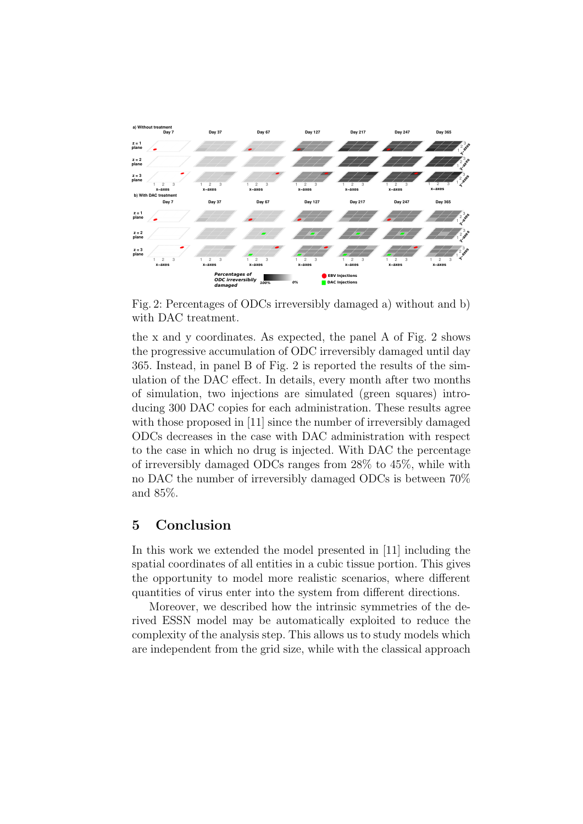

Fig. 2: Percentages of ODCs irreversibly damaged a) without and b) with DAC treatment.

the x and y coordinates. As expected, the panel A of Fig. 2 shows the progressive accumulation of ODC irreversibly damaged until day 365. Instead, in panel B of Fig. 2 is reported the results of the simulation of the DAC effect. In details, every month after two months of simulation, two injections are simulated (green squares) introducing 300 DAC copies for each administration. These results agree with those proposed in [11] since the number of irreversibly damaged ODCs decreases in the case with DAC administration with respect to the case in which no drug is injected. With DAC the percentage of irreversibly damaged ODCs ranges from 28% to 45%, while with no DAC the number of irreversibly damaged ODCs is between 70% and 85%.

#### 5 Conclusion

In this work we extended the model presented in [11] including the spatial coordinates of all entities in a cubic tissue portion. This gives the opportunity to model more realistic scenarios, where different quantities of virus enter into the system from different directions.

Moreover, we described how the intrinsic symmetries of the derived ESSN model may be automatically exploited to reduce the complexity of the analysis step. This allows us to study models which are independent from the grid size, while with the classical approach